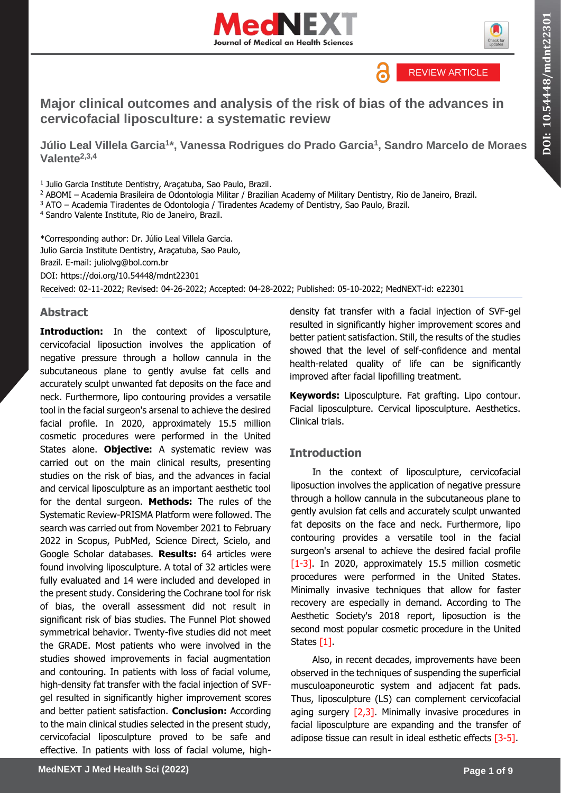



REVIEW ARTICLE

a

## **Major clinical outcomes and analysis of the risk of bias of the advances in cervicofacial liposculture: a systematic review**

**Júlio Leal Villela Garcia<sup>1</sup> \*, Vanessa Rodrigues do Prado Garcia<sup>1</sup> , Sandro Marcelo de Moraes Valente2,3,4**

1 Julio Garcia Institute Dentistry, Araçatuba, Sao Paulo, Brazil.

<sup>2</sup> ABOMI – Academia Brasileira de Odontologia Militar / Brazilian Academy of Military Dentistry, Rio de Janeiro, Brazil.

<sup>3</sup> ATO – Academia Tiradentes de Odontologia / Tiradentes Academy of Dentistry, Sao Paulo, Brazil.

<sup>4</sup> Sandro Valente Institute, Rio de Janeiro, Brazil.

\*Corresponding author: Dr. Júlio Leal Villela Garcia. Julio Garcia Institute Dentistry, Araçatuba, Sao Paulo, Brazil. E-mail: juliolvg@bol.com.br DOI:<https://doi.org/10.54448/mdnt22301> Received: 02-11-2022; Revised: 04-26-2022; Accepted: 04-28-2022; Published: 05-10-2022; MedNEXT-id: e22301

## **Abstract**

**Introduction:** In the context of liposculpture, cervicofacial liposuction involves the application of negative pressure through a hollow cannula in the subcutaneous plane to gently avulse fat cells and accurately sculpt unwanted fat deposits on the face and neck. Furthermore, lipo contouring provides a versatile tool in the facial surgeon's arsenal to achieve the desired facial profile. In 2020, approximately 15.5 million cosmetic procedures were performed in the United States alone. **Objective:** A systematic review was carried out on the main clinical results, presenting studies on the risk of bias, and the advances in facial and cervical liposculpture as an important aesthetic tool for the dental surgeon. **Methods:** The rules of the Systematic Review-PRISMA Platform were followed. The search was carried out from November 2021 to February 2022 in Scopus, PubMed, Science Direct, Scielo, and Google Scholar databases. **Results:** 64 articles were found involving liposculpture. A total of 32 articles were fully evaluated and 14 were included and developed in the present study. Considering the Cochrane tool for risk of bias, the overall assessment did not result in significant risk of bias studies. The Funnel Plot showed symmetrical behavior. Twenty-five studies did not meet the GRADE. Most patients who were involved in the studies showed improvements in facial augmentation and contouring. In patients with loss of facial volume, high-density fat transfer with the facial injection of SVFgel resulted in significantly higher improvement scores and better patient satisfaction. **Conclusion:** According to the main clinical studies selected in the present study, cervicofacial liposculpture proved to be safe and effective. In patients with loss of facial volume, highdensity fat transfer with a facial injection of SVF-gel resulted in significantly higher improvement scores and better patient satisfaction. Still, the results of the studies showed that the level of self-confidence and mental health-related quality of life can be significantly improved after facial lipofilling treatment.

**Keywords:** Liposculpture. Fat grafting. Lipo contour. Facial liposculpture. Cervical liposculpture. Aesthetics. Clinical trials.

## **Introduction**

In the context of liposculpture, cervicofacial liposuction involves the application of negative pressure through a hollow cannula in the subcutaneous plane to gently avulsion fat cells and accurately sculpt unwanted fat deposits on the face and neck. Furthermore, lipo contouring provides a versatile tool in the facial surgeon's arsenal to achieve the desired facial profile [1-3]. In 2020, approximately 15.5 million cosmetic procedures were performed in the United States. Minimally invasive techniques that allow for faster recovery are especially in demand. According to The Aesthetic Society's 2018 report, liposuction is the second most popular cosmetic procedure in the United States [1].

Also, in recent decades, improvements have been observed in the techniques of suspending the superficial musculoaponeurotic system and adjacent fat pads. Thus, liposculpture (LS) can complement cervicofacial aging surgery  $[2,3]$ . Minimally invasive procedures in facial liposculpture are expanding and the transfer of adipose tissue can result in ideal esthetic effects [3-5].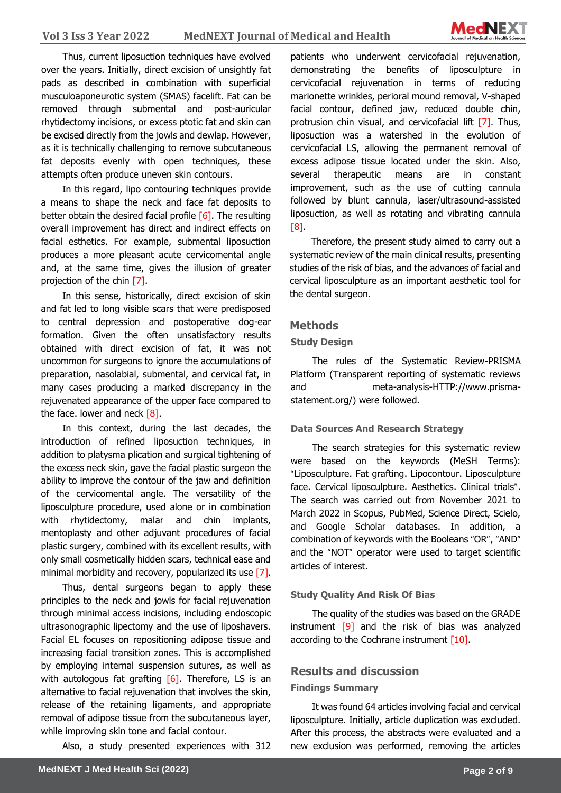

Thus, current liposuction techniques have evolved over the years. Initially, direct excision of unsightly fat pads as described in combination with superficial musculoaponeurotic system (SMAS) facelift. Fat can be removed through submental and post-auricular rhytidectomy incisions, or excess ptotic fat and skin can be excised directly from the jowls and dewlap. However, as it is technically challenging to remove subcutaneous fat deposits evenly with open techniques, these attempts often produce uneven skin contours.

In this regard, lipo contouring techniques provide a means to shape the neck and face fat deposits to better obtain the desired facial profile  $[6]$ . The resulting overall improvement has direct and indirect effects on facial esthetics. For example, submental liposuction produces a more pleasant acute cervicomental angle and, at the same time, gives the illusion of greater projection of the chin [7].

In this sense, historically, direct excision of skin and fat led to long visible scars that were predisposed to central depression and postoperative dog-ear formation. Given the often unsatisfactory results obtained with direct excision of fat, it was not uncommon for surgeons to ignore the accumulations of preparation, nasolabial, submental, and cervical fat, in many cases producing a marked discrepancy in the rejuvenated appearance of the upper face compared to the face. lower and neck  $[8]$ .

In this context, during the last decades, the introduction of refined liposuction techniques, in addition to platysma plication and surgical tightening of the excess neck skin, gave the facial plastic surgeon the ability to improve the contour of the jaw and definition of the cervicomental angle. The versatility of the liposculpture procedure, used alone or in combination with rhytidectomy, malar and chin implants, mentoplasty and other adjuvant procedures of facial plastic surgery, combined with its excellent results, with only small cosmetically hidden scars, technical ease and minimal morbidity and recovery, popularized its use [7].

Thus, dental surgeons began to apply these principles to the neck and jowls for facial rejuvenation through minimal access incisions, including endoscopic ultrasonographic lipectomy and the use of liposhavers. Facial EL focuses on repositioning adipose tissue and increasing facial transition zones. This is accomplished by employing internal suspension sutures, as well as with autologous fat grafting  $[6]$ . Therefore, LS is an alternative to facial rejuvenation that involves the skin, release of the retaining ligaments, and appropriate removal of adipose tissue from the subcutaneous layer, while improving skin tone and facial contour.

Also, a study presented experiences with 312

patients who underwent cervicofacial rejuvenation, demonstrating the benefits of liposculpture in cervicofacial rejuvenation in terms of reducing marionette wrinkles, perioral mound removal, V-shaped facial contour, defined jaw, reduced double chin, protrusion chin visual, and cervicofacial lift [7]. Thus, liposuction was a watershed in the evolution of cervicofacial LS, allowing the permanent removal of excess adipose tissue located under the skin. Also, several therapeutic means are in constant improvement, such as the use of cutting cannula followed by blunt cannula, laser/ultrasound-assisted liposuction, as well as rotating and vibrating cannula [8].

Therefore, the present study aimed to carry out a systematic review of the main clinical results, presenting studies of the risk of bias, and the advances of facial and cervical liposculpture as an important aesthetic tool for the dental surgeon.

### **Methods**

#### **Study Design**

The rules of the Systematic Review-PRISMA Platform (Transparent reporting of systematic reviews and meta-analysis-HTTP://www.prismastatement.org/) were followed.

#### **Data Sources And Research Strategy**

The search strategies for this systematic review were based on the keywords (MeSH Terms): "Liposculpture. Fat grafting. Lipocontour. Liposculpture face. Cervical liposculpture. Aesthetics. Clinical trials". The search was carried out from November 2021 to March 2022 in Scopus, PubMed, Science Direct, Scielo, and Google Scholar databases. In addition, a combination of keywords with the Booleans "OR", "AND" and the "NOT" operator were used to target scientific articles of interest.

#### **Study Quality And Risk Of Bias**

The quality of the studies was based on the GRADE instrument [9] and the risk of bias was analyzed according to the Cochrane instrument [10].

### **Results and discussion**

#### **Findings Summary**

It was found 64 articles involving facial and cervical liposculpture. Initially, article duplication was excluded. After this process, the abstracts were evaluated and a new exclusion was performed, removing the articles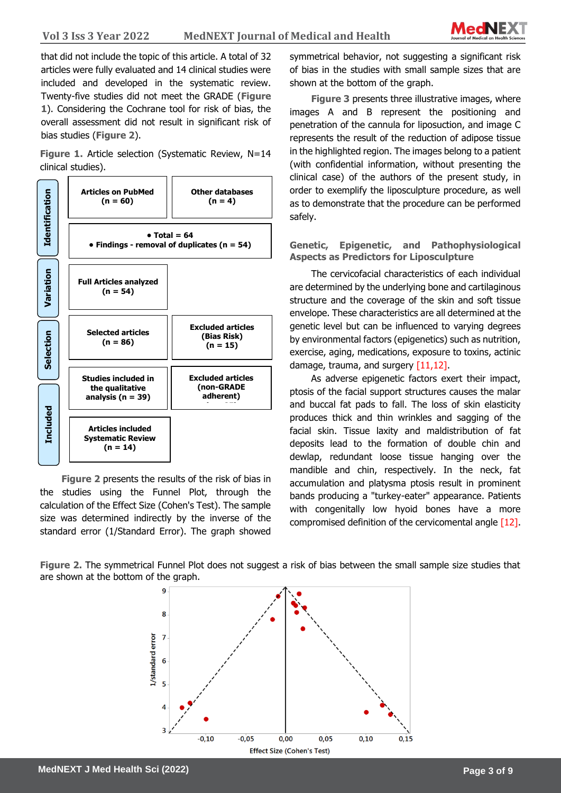**Sciences** that did not include the topic of this article. A total of 32 articles were fully evaluated and 14 clinical studies were included and developed in the systematic review. Twenty-five studies did not meet the GRADE (**Figure 1**). Considering the Cochrane tool for risk of bias, the overall assessment did not result in significant risk of bias studies (**Figure 2**).

**Figure 1.** Article selection (Systematic Review, N=14 clinical studies).



**Figure 2** presents the results of the risk of bias in the studies using the Funnel Plot, through the calculation of the Effect Size (Cohen's Test). The sample size was determined indirectly by the inverse of the standard error (1/Standard Error). The graph showed symmetrical behavior, not suggesting a significant risk of bias in the studies with small sample sizes that are shown at the bottom of the graph.

**Figure 3** presents three illustrative images, where images A and B represent the positioning and penetration of the cannula for liposuction, and image C represents the result of the reduction of adipose tissue in the highlighted region. The images belong to a patient (with confidential information, without presenting the clinical case) of the authors of the present study, in order to exemplify the liposculpture procedure, as well as to demonstrate that the procedure can be performed safely.

**Genetic, Epigenetic, and Pathophysiological Aspects as Predictors for Liposculpture**

The cervicofacial characteristics of each individual are determined by the underlying bone and cartilaginous structure and the coverage of the skin and soft tissue envelope. These characteristics are all determined at the genetic level but can be influenced to varying degrees by environmental factors (epigenetics) such as nutrition, exercise, aging, medications, exposure to toxins, actinic damage, trauma, and surgery [11,12].

As adverse epigenetic factors exert their impact, ptosis of the facial support structures causes the malar and buccal fat pads to fall. The loss of skin elasticity produces thick and thin wrinkles and sagging of the facial skin. Tissue laxity and maldistribution of fat deposits lead to the formation of double chin and dewlap, redundant loose tissue hanging over the mandible and chin, respectively. In the neck, fat accumulation and platysma ptosis result in prominent bands producing a "turkey-eater" appearance. Patients with congenitally low hyoid bones have a more compromised definition of the cervicomental angle [12].

**Figure 2.** The symmetrical Funnel Plot does not suggest a risk of bias between the small sample size studies that

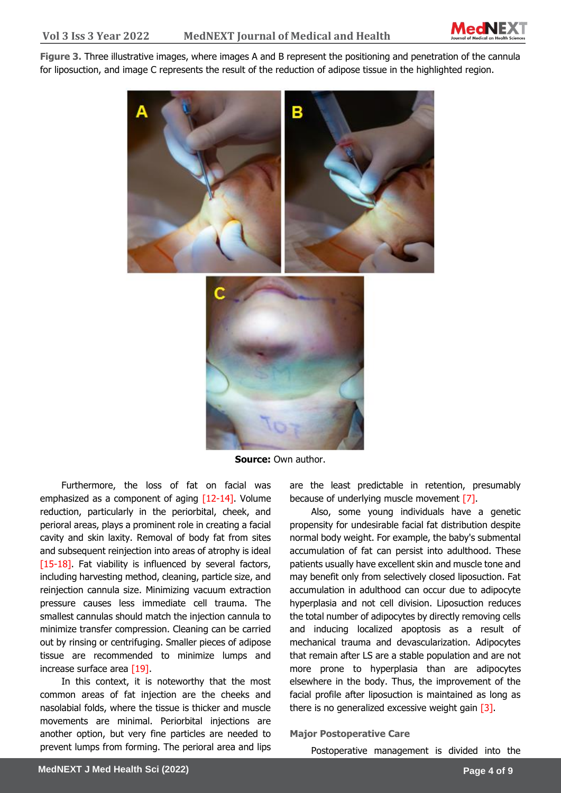

**Sciences Figure 3.** Three illustrative images, where images A and B represent the positioning and penetration of the cannula for liposuction, and image C represents the result of the reduction of adipose tissue in the highlighted region.





**Source:** Own author.

Furthermore, the loss of fat on facial was emphasized as a component of aging  $[12-14]$ . Volume reduction, particularly in the periorbital, cheek, and perioral areas, plays a prominent role in creating a facial cavity and skin laxity. Removal of body fat from sites and subsequent reinjection into areas of atrophy is ideal [15-18]. Fat viability is influenced by several factors, including harvesting method, cleaning, particle size, and reinjection cannula size. Minimizing vacuum extraction pressure causes less immediate cell trauma. The smallest cannulas should match the injection cannula to minimize transfer compression. Cleaning can be carried out by rinsing or centrifuging. Smaller pieces of adipose tissue are recommended to minimize lumps and increase surface area [19].

In this context, it is noteworthy that the most common areas of fat injection are the cheeks and nasolabial folds, where the tissue is thicker and muscle movements are minimal. Periorbital injections are another option, but very fine particles are needed to prevent lumps from forming. The perioral area and lips

are the least predictable in retention, presumably because of underlying muscle movement [7].

Also, some young individuals have a genetic propensity for undesirable facial fat distribution despite normal body weight. For example, the baby's submental accumulation of fat can persist into adulthood. These patients usually have excellent skin and muscle tone and may benefit only from selectively closed liposuction. Fat accumulation in adulthood can occur due to adipocyte hyperplasia and not cell division. Liposuction reduces the total number of adipocytes by directly removing cells and inducing localized apoptosis as a result of mechanical trauma and devascularization. Adipocytes that remain after LS are a stable population and are not more prone to hyperplasia than are adipocytes elsewhere in the body. Thus, the improvement of the facial profile after liposuction is maintained as long as there is no generalized excessive weight gain  $\boxed{3}$ .

#### **Major Postoperative Care**

Postoperative management is divided into the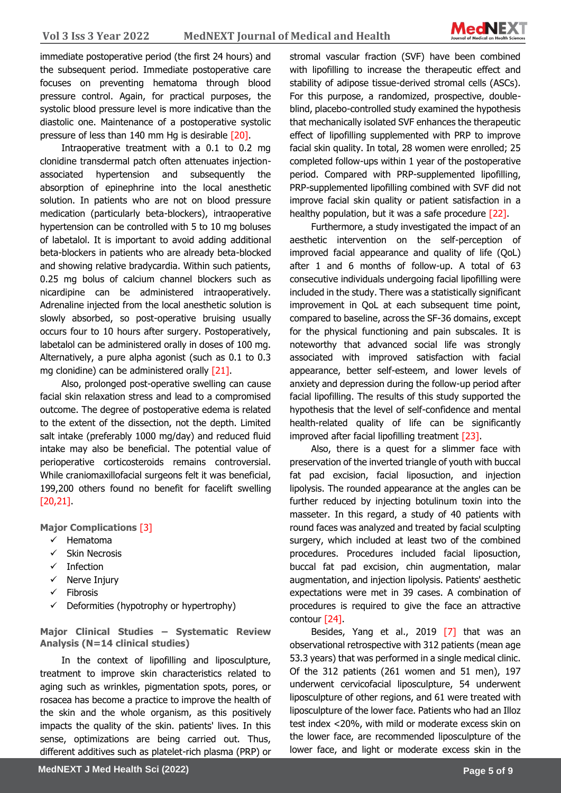

immediate postoperative period (the first 24 hours) and the subsequent period. Immediate postoperative care focuses on preventing hematoma through blood pressure control. Again, for practical purposes, the systolic blood pressure level is more indicative than the diastolic one. Maintenance of a postoperative systolic pressure of less than 140 mm Hg is desirable [20].

Intraoperative treatment with a 0.1 to 0.2 mg clonidine transdermal patch often attenuates injectionassociated hypertension and subsequently the absorption of epinephrine into the local anesthetic solution. In patients who are not on blood pressure medication (particularly beta-blockers), intraoperative hypertension can be controlled with 5 to 10 mg boluses of labetalol. It is important to avoid adding additional beta-blockers in patients who are already beta-blocked and showing relative bradycardia. Within such patients, 0.25 mg bolus of calcium channel blockers such as nicardipine can be administered intraoperatively. Adrenaline injected from the local anesthetic solution is slowly absorbed, so post-operative bruising usually occurs four to 10 hours after surgery. Postoperatively, labetalol can be administered orally in doses of 100 mg. Alternatively, a pure alpha agonist (such as 0.1 to 0.3 mg clonidine) can be administered orally [21].

Also, prolonged post-operative swelling can cause facial skin relaxation stress and lead to a compromised outcome. The degree of postoperative edema is related to the extent of the dissection, not the depth. Limited salt intake (preferably 1000 mg/day) and reduced fluid intake may also be beneficial. The potential value of perioperative corticosteroids remains controversial. While craniomaxillofacial surgeons felt it was beneficial, 199,200 others found no benefit for facelift swelling [20,21].

**Major Complications** [3]

- ✓ Hematoma
- ✓ Skin Necrosis
- ✓ Infection
- ✓ Nerve Injury
- ✓ Fibrosis
- $\checkmark$  Deformities (hypotrophy or hypertrophy)

**Major Clinical Studies – Systematic Review Analysis (N=14 clinical studies)**

In the context of lipofilling and liposculpture, treatment to improve skin characteristics related to aging such as wrinkles, pigmentation spots, pores, or rosacea has become a practice to improve the health of the skin and the whole organism, as this positively impacts the quality of the skin. patients' lives. In this sense, optimizations are being carried out. Thus, different additives such as platelet-rich plasma (PRP) or stromal vascular fraction (SVF) have been combined with lipofilling to increase the therapeutic effect and stability of adipose tissue-derived stromal cells (ASCs). For this purpose, a randomized, prospective, doubleblind, placebo-controlled study examined the hypothesis that mechanically isolated SVF enhances the therapeutic effect of lipofilling supplemented with PRP to improve facial skin quality. In total, 28 women were enrolled; 25 completed follow-ups within 1 year of the postoperative period. Compared with PRP-supplemented lipofilling, PRP-supplemented lipofilling combined with SVF did not improve facial skin quality or patient satisfaction in a healthy population, but it was a safe procedure [22].

Furthermore, a study investigated the impact of an aesthetic intervention on the self-perception of improved facial appearance and quality of life (QoL) after 1 and 6 months of follow-up. A total of 63 consecutive individuals undergoing facial lipofilling were included in the study. There was a statistically significant improvement in QoL at each subsequent time point, compared to baseline, across the SF-36 domains, except for the physical functioning and pain subscales. It is noteworthy that advanced social life was strongly associated with improved satisfaction with facial appearance, better self-esteem, and lower levels of anxiety and depression during the follow-up period after facial lipofilling. The results of this study supported the hypothesis that the level of self-confidence and mental health-related quality of life can be significantly improved after facial lipofilling treatment [23].

Also, there is a quest for a slimmer face with preservation of the inverted triangle of youth with buccal fat pad excision, facial liposuction, and injection lipolysis. The rounded appearance at the angles can be further reduced by injecting botulinum toxin into the masseter. In this regard, a study of 40 patients with round faces was analyzed and treated by facial sculpting surgery, which included at least two of the combined procedures. Procedures included facial liposuction, buccal fat pad excision, chin augmentation, malar augmentation, and injection lipolysis. Patients' aesthetic expectations were met in 39 cases. A combination of procedures is required to give the face an attractive contour [24].

Besides, Yang et al., 2019 [7] that was an observational retrospective with 312 patients (mean age 53.3 years) that was performed in a single medical clinic. Of the 312 patients (261 women and 51 men), 197 underwent cervicofacial liposculpture, 54 underwent liposculpture of other regions, and 61 were treated with liposculpture of the lower face. Patients who had an Illoz test index <20%, with mild or moderate excess skin on the lower face, are recommended liposculpture of the lower face, and light or moderate excess skin in the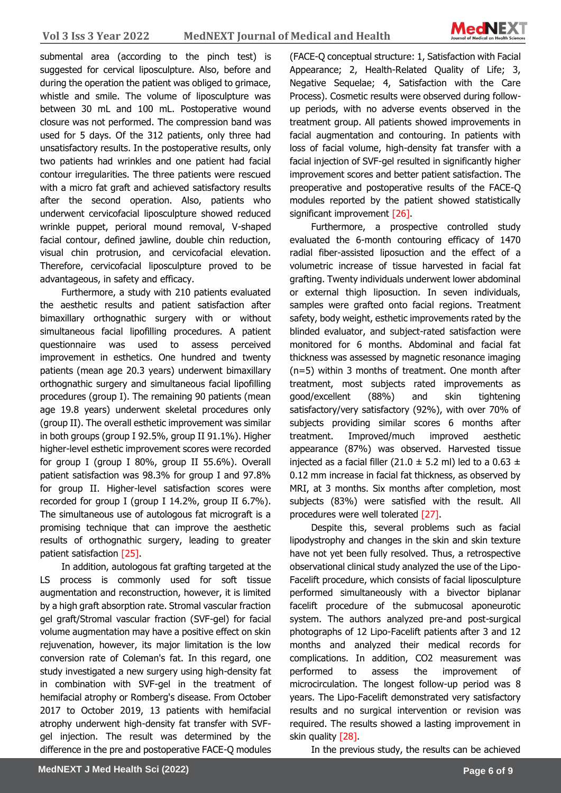

submental area (according to the pinch test) is suggested for cervical liposculpture. Also, before and during the operation the patient was obliged to grimace, whistle and smile. The volume of liposculpture was between 30 mL and 100 mL. Postoperative wound closure was not performed. The compression band was used for 5 days. Of the 312 patients, only three had unsatisfactory results. In the postoperative results, only two patients had wrinkles and one patient had facial contour irregularities. The three patients were rescued with a micro fat graft and achieved satisfactory results after the second operation. Also, patients who underwent cervicofacial liposculpture showed reduced wrinkle puppet, perioral mound removal, V-shaped facial contour, defined jawline, double chin reduction, visual chin protrusion, and cervicofacial elevation. Therefore, cervicofacial liposculpture proved to be advantageous, in safety and efficacy.

Furthermore, a study with 210 patients evaluated the aesthetic results and patient satisfaction after bimaxillary orthognathic surgery with or without simultaneous facial lipofilling procedures. A patient questionnaire was used to assess perceived improvement in esthetics. One hundred and twenty patients (mean age 20.3 years) underwent bimaxillary orthognathic surgery and simultaneous facial lipofilling procedures (group I). The remaining 90 patients (mean age 19.8 years) underwent skeletal procedures only (group II). The overall esthetic improvement was similar in both groups (group I 92.5%, group II 91.1%). Higher higher-level esthetic improvement scores were recorded for group I (group I 80%, group II 55.6%). Overall patient satisfaction was 98.3% for group I and 97.8% for group II. Higher-level satisfaction scores were recorded for group I (group I 14.2%, group II 6.7%). The simultaneous use of autologous fat micrograft is a promising technique that can improve the aesthetic results of orthognathic surgery, leading to greater patient satisfaction [25].

In addition, autologous fat grafting targeted at the LS process is commonly used for soft tissue augmentation and reconstruction, however, it is limited by a high graft absorption rate. Stromal vascular fraction gel graft/Stromal vascular fraction (SVF-gel) for facial volume augmentation may have a positive effect on skin rejuvenation, however, its major limitation is the low conversion rate of Coleman's fat. In this regard, one study investigated a new surgery using high-density fat in combination with SVF-gel in the treatment of hemifacial atrophy or Romberg's disease. From October 2017 to October 2019, 13 patients with hemifacial atrophy underwent high-density fat transfer with SVFgel injection. The result was determined by the difference in the pre and postoperative FACE-Q modules

(FACE-Q conceptual structure: 1, Satisfaction with Facial Appearance; 2, Health-Related Quality of Life; 3, Negative Sequelae; 4, Satisfaction with the Care Process). Cosmetic results were observed during followup periods, with no adverse events observed in the treatment group. All patients showed improvements in facial augmentation and contouring. In patients with loss of facial volume, high-density fat transfer with a facial injection of SVF-gel resulted in significantly higher improvement scores and better patient satisfaction. The preoperative and postoperative results of the FACE-Q modules reported by the patient showed statistically significant improvement [26].

Furthermore, a prospective controlled study evaluated the 6-month contouring efficacy of 1470 radial fiber-assisted liposuction and the effect of a volumetric increase of tissue harvested in facial fat grafting. Twenty individuals underwent lower abdominal or external thigh liposuction. In seven individuals, samples were grafted onto facial regions. Treatment safety, body weight, esthetic improvements rated by the blinded evaluator, and subject-rated satisfaction were monitored for 6 months. Abdominal and facial fat thickness was assessed by magnetic resonance imaging (n=5) within 3 months of treatment. One month after treatment, most subjects rated improvements as good/excellent (88%) and skin tightening satisfactory/very satisfactory (92%), with over 70% of subjects providing similar scores 6 months after treatment. Improved/much improved aesthetic appearance (87%) was observed. Harvested tissue injected as a facial filler (21.0  $\pm$  5.2 ml) led to a 0.63  $\pm$ 0.12 mm increase in facial fat thickness, as observed by MRI, at 3 months. Six months after completion, most subjects (83%) were satisfied with the result. All procedures were well tolerated [27].

Despite this, several problems such as facial lipodystrophy and changes in the skin and skin texture have not yet been fully resolved. Thus, a retrospective observational clinical study analyzed the use of the Lipo-Facelift procedure, which consists of facial liposculpture performed simultaneously with a bivector biplanar facelift procedure of the submucosal aponeurotic system. The authors analyzed pre-and post-surgical photographs of 12 Lipo-Facelift patients after 3 and 12 months and analyzed their medical records for complications. In addition, CO2 measurement was performed to assess the improvement of microcirculation. The longest follow-up period was 8 years. The Lipo-Facelift demonstrated very satisfactory results and no surgical intervention or revision was required. The results showed a lasting improvement in skin quality [28].

In the previous study, the results can be achieved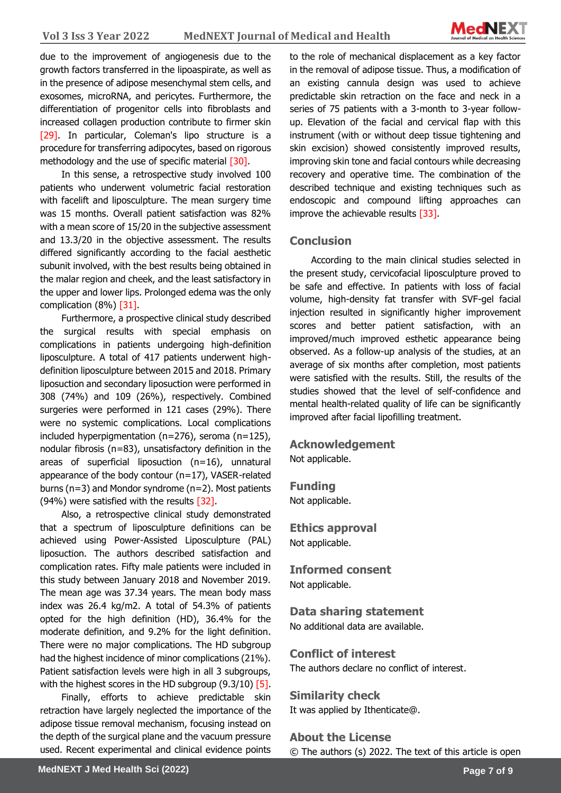

due to the improvement of angiogenesis due to the growth factors transferred in the lipoaspirate, as well as in the presence of adipose mesenchymal stem cells, and exosomes, microRNA, and pericytes. Furthermore, the differentiation of progenitor cells into fibroblasts and increased collagen production contribute to firmer skin [29]. In particular, Coleman's lipo structure is a procedure for transferring adipocytes, based on rigorous methodology and the use of specific material [30].

In this sense, a retrospective study involved 100 patients who underwent volumetric facial restoration with facelift and liposculpture. The mean surgery time was 15 months. Overall patient satisfaction was 82% with a mean score of 15/20 in the subjective assessment and 13.3/20 in the objective assessment. The results differed significantly according to the facial aesthetic subunit involved, with the best results being obtained in the malar region and cheek, and the least satisfactory in the upper and lower lips. Prolonged edema was the only complication (8%) [31].

Furthermore, a prospective clinical study described the surgical results with special emphasis on complications in patients undergoing high-definition liposculpture. A total of 417 patients underwent highdefinition liposculpture between 2015 and 2018. Primary liposuction and secondary liposuction were performed in 308 (74%) and 109 (26%), respectively. Combined surgeries were performed in 121 cases (29%). There were no systemic complications. Local complications included hyperpigmentation (n=276), seroma (n=125), nodular fibrosis (n=83), unsatisfactory definition in the areas of superficial liposuction (n=16), unnatural appearance of the body contour (n=17), VASER-related burns (n=3) and Mondor syndrome (n=2). Most patients (94%) were satisfied with the results [32].

Also, a retrospective clinical study demonstrated that a spectrum of liposculpture definitions can be achieved using Power-Assisted Liposculpture (PAL) liposuction. The authors described satisfaction and complication rates. Fifty male patients were included in this study between January 2018 and November 2019. The mean age was 37.34 years. The mean body mass index was 26.4 kg/m2. A total of 54.3% of patients opted for the high definition (HD), 36.4% for the moderate definition, and 9.2% for the light definition. There were no major complications. The HD subgroup had the highest incidence of minor complications (21%). Patient satisfaction levels were high in all 3 subgroups, with the highest scores in the HD subgroup (9.3/10) [5].

Finally, efforts to achieve predictable skin retraction have largely neglected the importance of the adipose tissue removal mechanism, focusing instead on the depth of the surgical plane and the vacuum pressure used. Recent experimental and clinical evidence points

to the role of mechanical displacement as a key factor in the removal of adipose tissue. Thus, a modification of an existing cannula design was used to achieve predictable skin retraction on the face and neck in a series of 75 patients with a 3-month to 3-year followup. Elevation of the facial and cervical flap with this instrument (with or without deep tissue tightening and skin excision) showed consistently improved results, improving skin tone and facial contours while decreasing recovery and operative time. The combination of the described technique and existing techniques such as endoscopic and compound lifting approaches can improve the achievable results [33].

## **Conclusion**

According to the main clinical studies selected in the present study, cervicofacial liposculpture proved to be safe and effective. In patients with loss of facial volume, high-density fat transfer with SVF-gel facial injection resulted in significantly higher improvement scores and better patient satisfaction, with an improved/much improved esthetic appearance being observed. As a follow-up analysis of the studies, at an average of six months after completion, most patients were satisfied with the results. Still, the results of the studies showed that the level of self-confidence and mental health-related quality of life can be significantly improved after facial lipofilling treatment.

### **Acknowledgement**

Not applicable.

## **Funding**

Not applicable.

#### **Ethics approval**  Not applicable.

**Informed consent** Not applicable.

# **Data sharing statement**

No additional data are available.

### **Conflict of interest**

The authors declare no conflict of interest.

# **Similarity check**

It was applied by Ithenticate@.

## **About the License** © The authors (s) 2022. The text of this article is open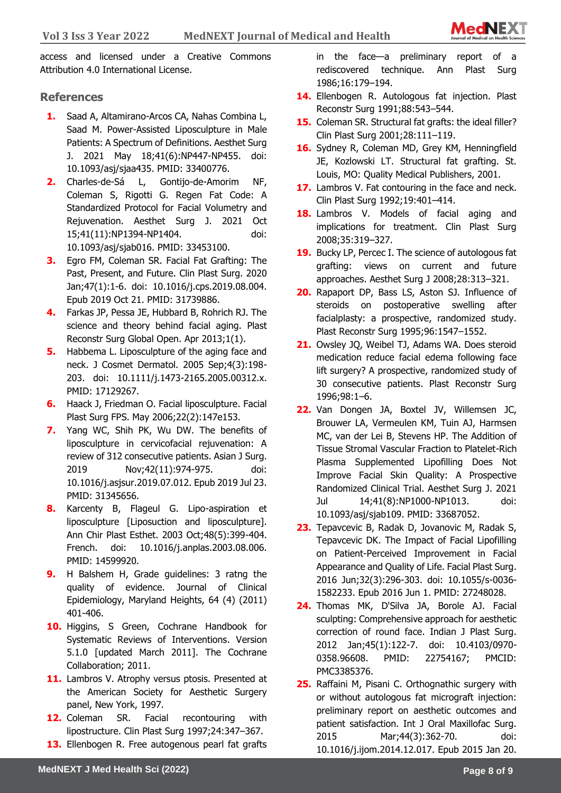

**Sciences** access and licensed under a Creative Commons Attribution 4.0 International License.

### **References**

- **1.** Saad A, Altamirano-Arcos CA, Nahas Combina L, Saad M. Power-Assisted Liposculpture in Male Patients: A Spectrum of Definitions. Aesthet Surg J. 2021 May 18;41(6):NP447-NP455. doi: 10.1093/asj/sjaa435. PMID: 33400776.
- **2.** Charles-de-Sá L, Gontijo-de-Amorim NF, Coleman S, Rigotti G. Regen Fat Code: A Standardized Protocol for Facial Volumetry and Rejuvenation. Aesthet Surg J. 2021 Oct 15;41(11):NP1394-NP1404. doi: 10.1093/asj/sjab016. PMID: 33453100.
- **3.** Egro FM, Coleman SR. Facial Fat Grafting: The Past, Present, and Future. Clin Plast Surg. 2020 Jan;47(1):1-6. doi: 10.1016/j.cps.2019.08.004. Epub 2019 Oct 21. PMID: 31739886.
- **4.** Farkas JP, Pessa JE, Hubbard B, Rohrich RJ. The science and theory behind facial aging. Plast Reconstr Surg Global Open. Apr 2013;1(1).
- **5.** Habbema L. Liposculpture of the aging face and neck. J Cosmet Dermatol. 2005 Sep;4(3):198- 203. doi: 10.1111/j.1473-2165.2005.00312.x. PMID: 17129267.
- **6.** Haack J, Friedman O. Facial liposculpture. Facial Plast Surg FPS. May 2006;22(2):147e153.
- **7.** Yang WC, Shih PK, Wu DW. The benefits of liposculpture in cervicofacial rejuvenation: A review of 312 consecutive patients. Asian J Surg. 2019 Nov;42(11):974-975. doi: 10.1016/j.asjsur.2019.07.012. Epub 2019 Jul 23. PMID: 31345656.
- **8.** Karcenty B, Flageul G. Lipo-aspiration et liposculpture [Liposuction and liposculpture]. Ann Chir Plast Esthet. 2003 Oct;48(5):399-404. French. doi: 10.1016/j.anplas.2003.08.006. PMID: 14599920.
- **9.** H Balshem H, Grade guidelines: 3 ratng the quality of evidence. Journal of Clinical Epidemiology, Maryland Heights, 64 (4) (2011) 401-406.
- **10.** Higgins, S Green, Cochrane Handbook for Systematic Reviews of Interventions. Version 5.1.0 [updated March 2011]. The Cochrane Collaboration; 2011.
- 11. Lambros V. Atrophy versus ptosis. Presented at the American Society for Aesthetic Surgery panel, New York, 1997.
- **12.** Coleman SR. Facial recontouring with lipostructure. Clin Plast Surg 1997;24:347–367.
- **13.** Ellenbogen R. Free autogenous pearl fat grafts

in the face—a preliminary report of a rediscovered technique. Ann Plast Surg 1986;16:179–194.

- **14.** Ellenbogen R. Autologous fat injection. Plast Reconstr Surg 1991;88:543–544.
- **15.** Coleman SR. Structural fat grafts: the ideal filler? Clin Plast Surg 2001;28:111–119.
- **16.** Sydney R, Coleman MD, Grey KM, Henningfield JE, Kozlowski LT. Structural fat grafting. St. Louis, MO: Quality Medical Publishers, 2001.
- **17.** Lambros V. Fat contouring in the face and neck. Clin Plast Surg 1992;19:401–414.
- **18.** Lambros V. Models of facial aging and implications for treatment. Clin Plast Surg 2008;35:319–327.
- **19.** Bucky LP, Percec I. The science of autologous fat grafting: views on current and future approaches. Aesthet Surg J 2008;28:313–321.
- **20.** Rapaport DP, Bass LS, Aston SJ. Influence of steroids on postoperative swelling after facialplasty: a prospective, randomized study. Plast Reconstr Surg 1995;96:1547–1552.
- **21.** Owsley JQ, Weibel TJ, Adams WA. Does steroid medication reduce facial edema following face lift surgery? A prospective, randomized study of 30 consecutive patients. Plast Reconstr Surg 1996;98:1–6.
- **22.** Van Dongen JA, Boxtel JV, Willemsen JC, Brouwer LA, Vermeulen KM, Tuin AJ, Harmsen MC, van der Lei B, Stevens HP. The Addition of Tissue Stromal Vascular Fraction to Platelet-Rich Plasma Supplemented Lipofilling Does Not Improve Facial Skin Quality: A Prospective Randomized Clinical Trial. Aesthet Surg J. 2021 Jul 14;41(8):NP1000-NP1013. doi: 10.1093/asj/sjab109. PMID: 33687052.
- **23.** Tepavcevic B, Radak D, Jovanovic M, Radak S, Tepavcevic DK. The Impact of Facial Lipofilling on Patient-Perceived Improvement in Facial Appearance and Quality of Life. Facial Plast Surg. 2016 Jun;32(3):296-303. doi: 10.1055/s-0036- 1582233. Epub 2016 Jun 1. PMID: 27248028.
- **24.** Thomas MK, D'Silva JA, Borole AJ. Facial sculpting: Comprehensive approach for aesthetic correction of round face. Indian J Plast Surg. 2012 Jan;45(1):122-7. doi: 10.4103/0970- 0358.96608. PMID: 22754167; PMCID: PMC3385376.
- **25.** Raffaini M, Pisani C. Orthognathic surgery with or without autologous fat micrograft injection: preliminary report on aesthetic outcomes and patient satisfaction. Int J Oral Maxillofac Surg. 2015 Mar;44(3):362-70. doi: 10.1016/j.ijom.2014.12.017. Epub 2015 Jan 20.